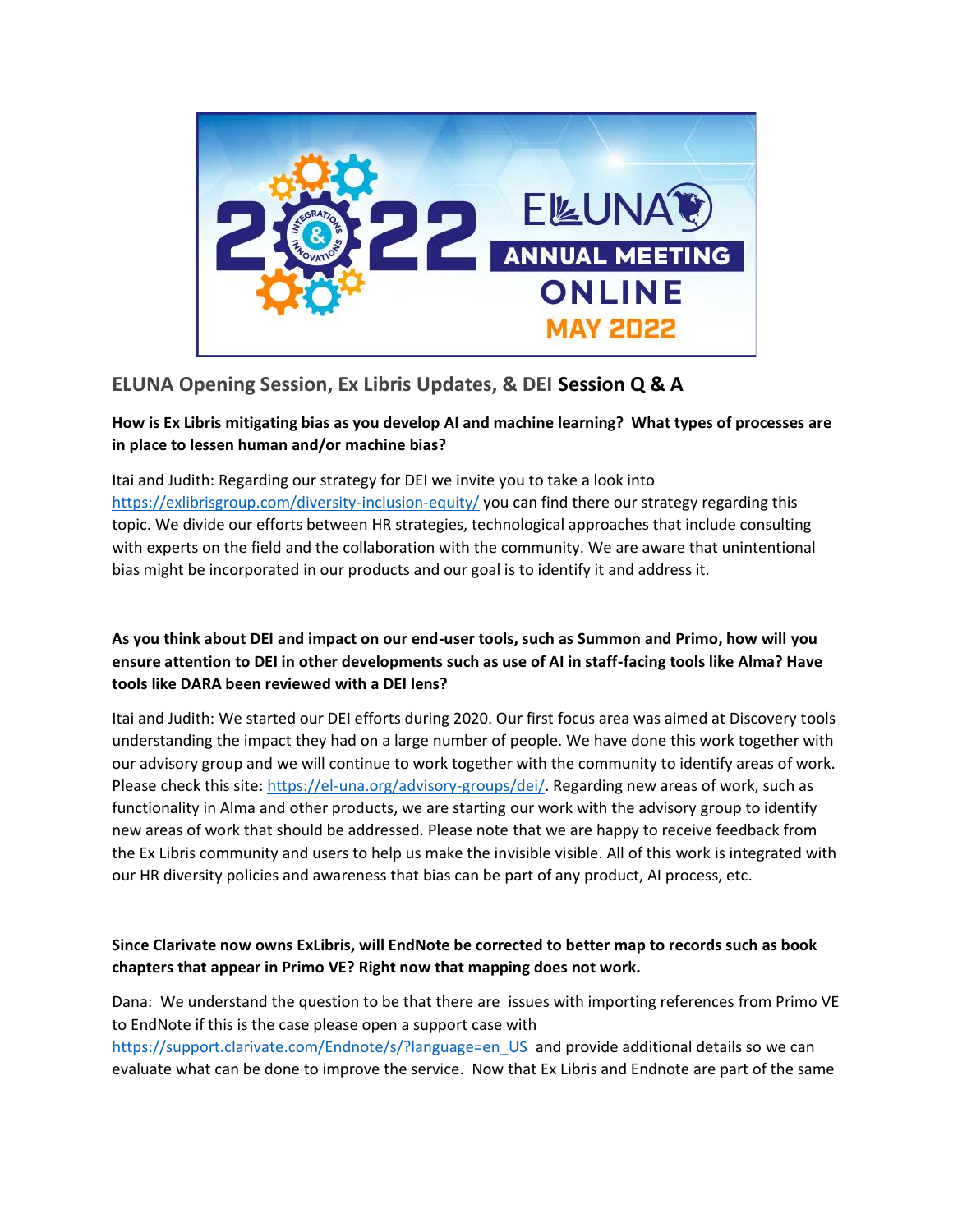

# **ELUNA Opening Session, Ex Libris Updates, & DEI Session Q & A**

# **How is Ex Libris mitigating bias as you develop AI and machine learning? What types of processes are in place to lessen human and/or machine bias?**

Itai and Judith: Regarding our strategy for DEI we invite you to take a look into <https://exlibrisgroup.com/diversity-inclusion-equity/> you can find there our strategy regarding this topic. We divide our efforts between HR strategies, technological approaches that include consulting with experts on the field and the collaboration with the community. We are aware that unintentional bias might be incorporated in our products and our goal is to identify it and address it.

# **As you think about DEI and impact on our end-user tools, such as Summon and Primo, how will you ensure attention to DEI in other developments such as use of AI in staff-facing tools like Alma? Have tools like DARA been reviewed with a DEI lens?**

Itai and Judith: We started our DEI efforts during 2020. Our first focus area was aimed at Discovery tools understanding the impact they had on a large number of people. We have done this work together with our advisory group and we will continue to work together with the community to identify areas of work. Please check this site[: https://el-una.org/advisory-groups/dei/.](https://el-una.org/advisory-groups/dei/) Regarding new areas of work, such as functionality in Alma and other products, we are starting our work with the advisory group to identify new areas of work that should be addressed. Please note that we are happy to receive feedback from the Ex Libris community and users to help us make the invisible visible. All of this work is integrated with our HR diversity policies and awareness that bias can be part of any product, AI process, etc.

# **Since Clarivate now owns ExLibris, will EndNote be corrected to better map to records such as book chapters that appear in Primo VE? Right now that mapping does not work.**

Dana: We understand the question to be that there are issues with importing references from Primo VE to EndNote if this is the case please open a support case with

[https://support.clarivate.com/Endnote/s/?language=en\\_US](https://support.clarivate.com/Endnote/s/?language=en_US) and provide additional details so we can evaluate what can be done to improve the service. Now that Ex Libris and Endnote are part of the same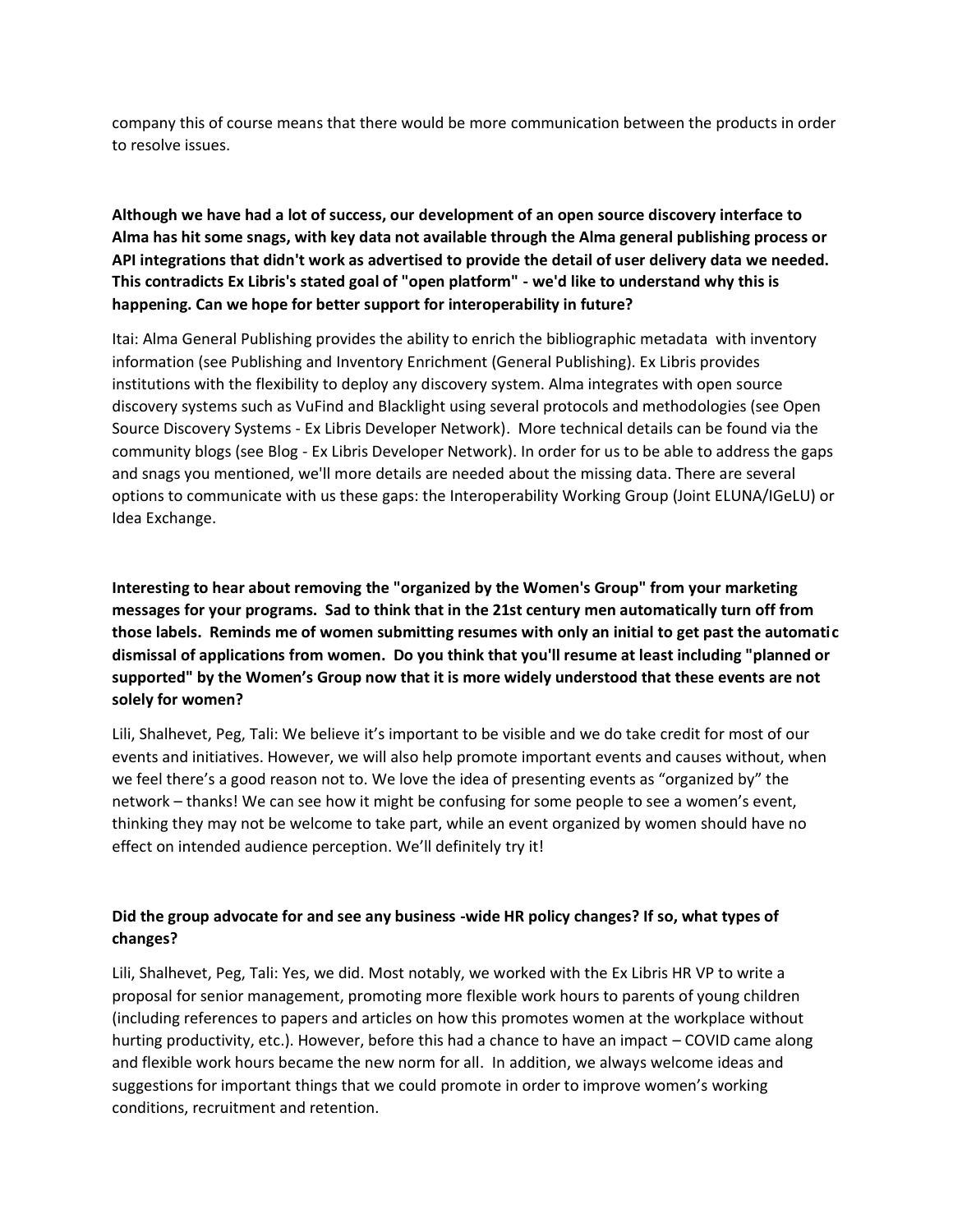company this of course means that there would be more communication between the products in order to resolve issues.

# **Although we have had a lot of success, our development of an open source discovery interface to Alma has hit some snags, with key data not available through the Alma general publishing process or API integrations that didn't work as advertised to provide the detail of user delivery data we needed. This contradicts Ex Libris's stated goal of "open platform" - we'd like to understand why this is happening. Can we hope for better support for interoperability in future?**

Itai: Alma General Publishing provides the ability to enrich the bibliographic metadata with inventory information (see Publishing and Inventory Enrichment (General Publishing). Ex Libris provides institutions with the flexibility to deploy any discovery system. Alma integrates with open source discovery systems such as VuFind and Blacklight using several protocols and methodologies (see Open Source Discovery Systems - Ex Libris Developer Network). More technical details can be found via the community blogs (see Blog - Ex Libris Developer Network). In order for us to be able to address the gaps and snags you mentioned, we'll more details are needed about the missing data. There are several options to communicate with us these gaps: the Interoperability Working Group (Joint ELUNA/IGeLU) or Idea Exchange.

**Interesting to hear about removing the "organized by the Women's Group" from your marketing messages for your programs. Sad to think that in the 21st century men automatically turn off from those labels. Reminds me of women submitting resumes with only an initial to get past the automatic dismissal of applications from women. Do you think that you'll resume at least including "planned or supported" by the Women's Group now that it is more widely understood that these events are not solely for women?**

Lili, Shalhevet, Peg, Tali: We believe it's important to be visible and we do take credit for most of our events and initiatives. However, we will also help promote important events and causes without, when we feel there's a good reason not to. We love the idea of presenting events as "organized by" the network – thanks! We can see how it might be confusing for some people to see a women's event, thinking they may not be welcome to take part, while an event organized by women should have no effect on intended audience perception. We'll definitely try it!

#### **Did the group advocate for and see any business -wide HR policy changes? If so, what types of changes?**

Lili, Shalhevet, Peg, Tali: Yes, we did. Most notably, we worked with the Ex Libris HR VP to write a proposal for senior management, promoting more flexible work hours to parents of young children (including references to papers and articles on how this promotes women at the workplace without hurting productivity, etc.). However, before this had a chance to have an impact – COVID came along and flexible work hours became the new norm for all. In addition, we always welcome ideas and suggestions for important things that we could promote in order to improve women's working conditions, recruitment and retention.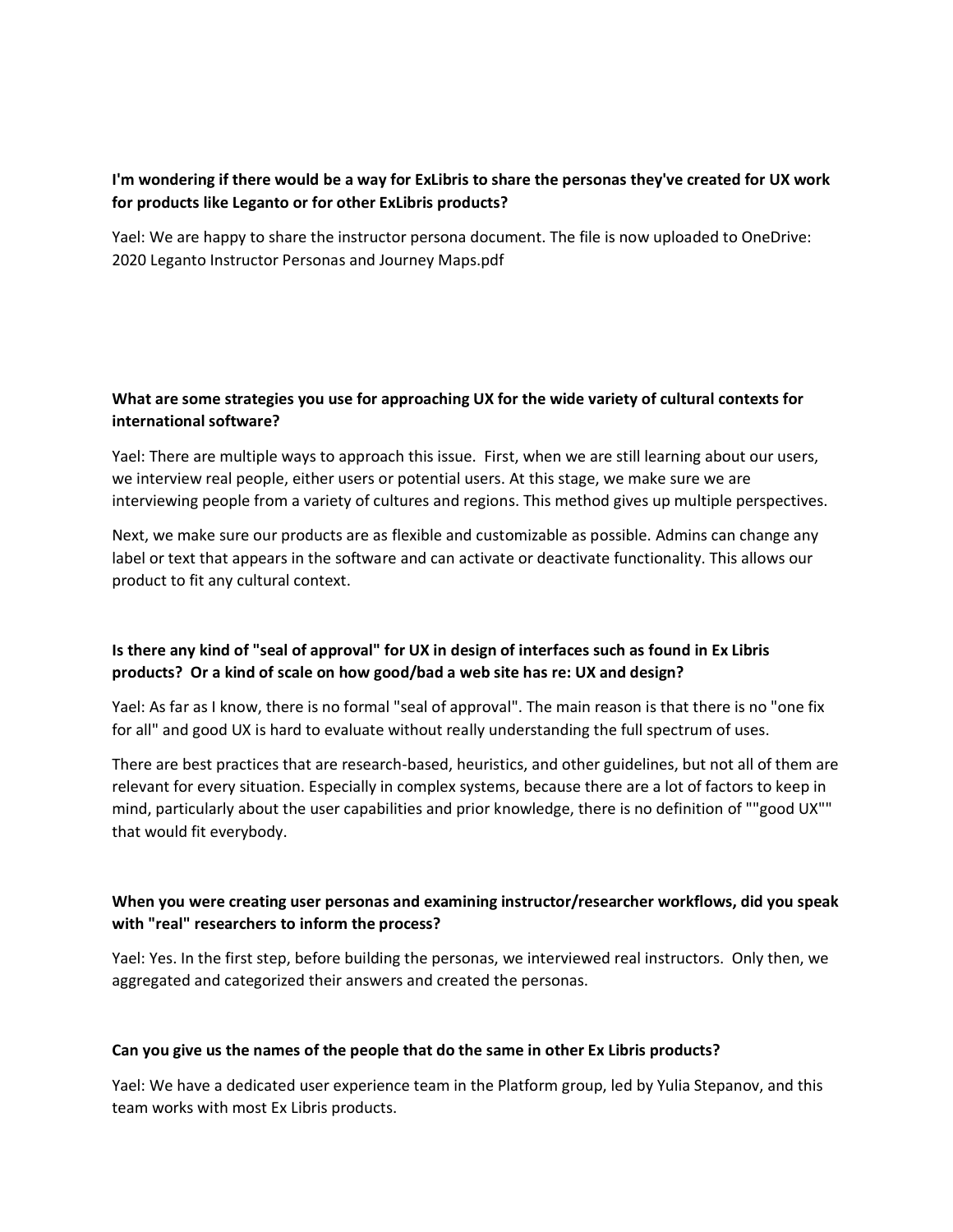#### **I'm wondering if there would be a way for ExLibris to share the personas they've created for UX work for products like Leganto or for other ExLibris products?**

Yael: We are happy to share the instructor persona document. The file is now uploaded to OneDrive: 2020 Leganto Instructor Personas and Journey Maps.pdf

#### **What are some strategies you use for approaching UX for the wide variety of cultural contexts for international software?**

Yael: There are multiple ways to approach this issue. First, when we are still learning about our users, we interview real people, either users or potential users. At this stage, we make sure we are interviewing people from a variety of cultures and regions. This method gives up multiple perspectives.

Next, we make sure our products are as flexible and customizable as possible. Admins can change any label or text that appears in the software and can activate or deactivate functionality. This allows our product to fit any cultural context.

### **Is there any kind of "seal of approval" for UX in design of interfaces such as found in Ex Libris products? Or a kind of scale on how good/bad a web site has re: UX and design?**

Yael: As far as I know, there is no formal "seal of approval". The main reason is that there is no "one fix for all" and good UX is hard to evaluate without really understanding the full spectrum of uses.

There are best practices that are research-based, heuristics, and other guidelines, but not all of them are relevant for every situation. Especially in complex systems, because there are a lot of factors to keep in mind, particularly about the user capabilities and prior knowledge, there is no definition of ""good UX"" that would fit everybody.

#### **When you were creating user personas and examining instructor/researcher workflows, did you speak with "real" researchers to inform the process?**

Yael: Yes. In the first step, before building the personas, we interviewed real instructors. Only then, we aggregated and categorized their answers and created the personas.

#### **Can you give us the names of the people that do the same in other Ex Libris products?**

Yael: We have a dedicated user experience team in the Platform group, led by Yulia Stepanov, and this team works with most Ex Libris products.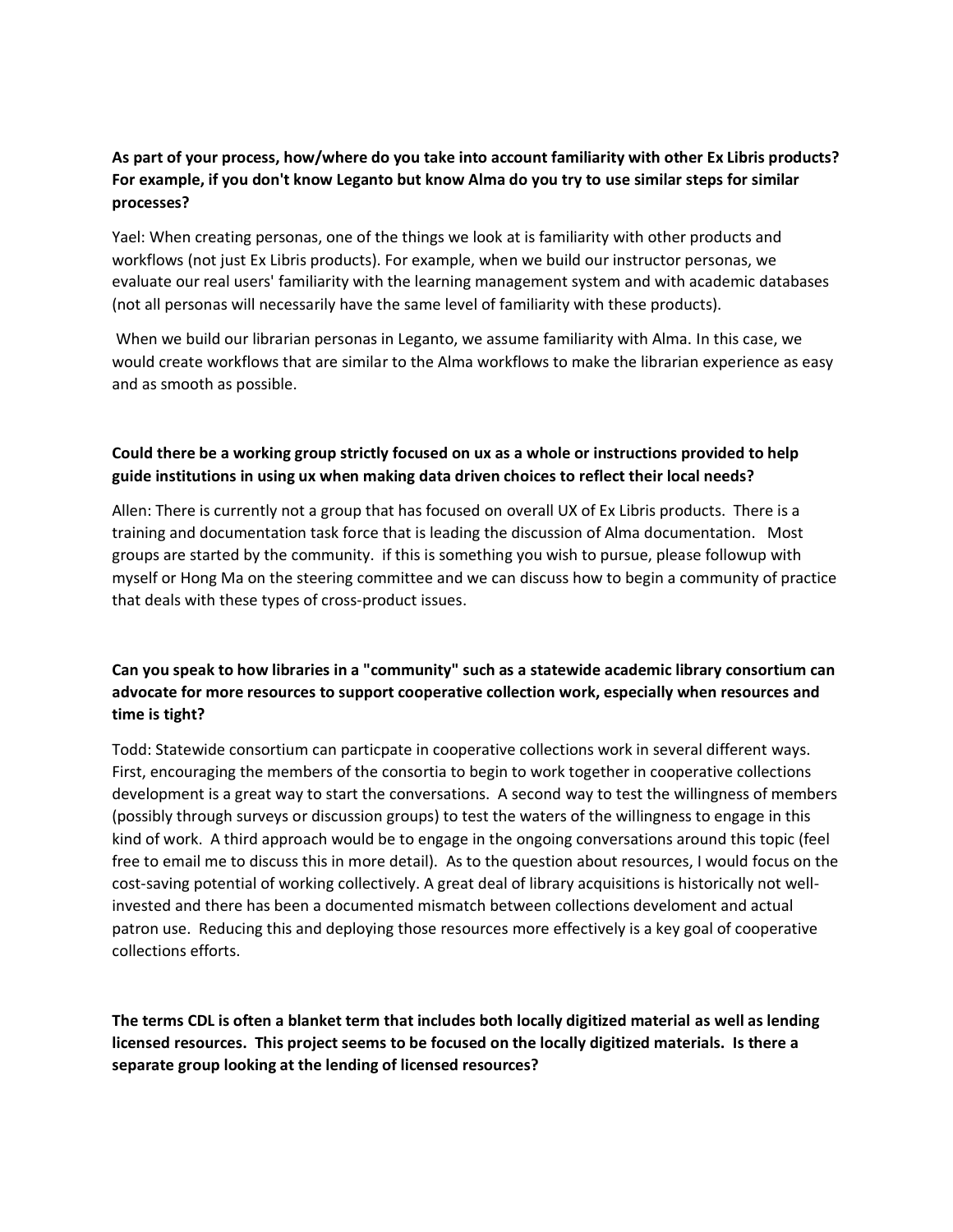### **As part of your process, how/where do you take into account familiarity with other Ex Libris products? For example, if you don't know Leganto but know Alma do you try to use similar steps for similar processes?**

Yael: When creating personas, one of the things we look at is familiarity with other products and workflows (not just Ex Libris products). For example, when we build our instructor personas, we evaluate our real users' familiarity with the learning management system and with academic databases (not all personas will necessarily have the same level of familiarity with these products).

When we build our librarian personas in Leganto, we assume familiarity with Alma. In this case, we would create workflows that are similar to the Alma workflows to make the librarian experience as easy and as smooth as possible.

# **Could there be a working group strictly focused on ux as a whole or instructions provided to help guide institutions in using ux when making data driven choices to reflect their local needs?**

Allen: There is currently not a group that has focused on overall UX of Ex Libris products. There is a training and documentation task force that is leading the discussion of Alma documentation. Most groups are started by the community. if this is something you wish to pursue, please followup with myself or Hong Ma on the steering committee and we can discuss how to begin a community of practice that deals with these types of cross-product issues.

# **Can you speak to how libraries in a "community" such as a statewide academic library consortium can advocate for more resources to support cooperative collection work, especially when resources and time is tight?**

Todd: Statewide consortium can particpate in cooperative collections work in several different ways. First, encouraging the members of the consortia to begin to work together in cooperative collections development is a great way to start the conversations. A second way to test the willingness of members (possibly through surveys or discussion groups) to test the waters of the willingness to engage in this kind of work. A third approach would be to engage in the ongoing conversations around this topic (feel free to email me to discuss this in more detail). As to the question about resources, I would focus on the cost-saving potential of working collectively. A great deal of library acquisitions is historically not wellinvested and there has been a documented mismatch between collections develoment and actual patron use. Reducing this and deploying those resources more effectively is a key goal of cooperative collections efforts.

**The terms CDL is often a blanket term that includes both locally digitized material as well as lending licensed resources. This project seems to be focused on the locally digitized materials. Is there a separate group looking at the lending of licensed resources?**